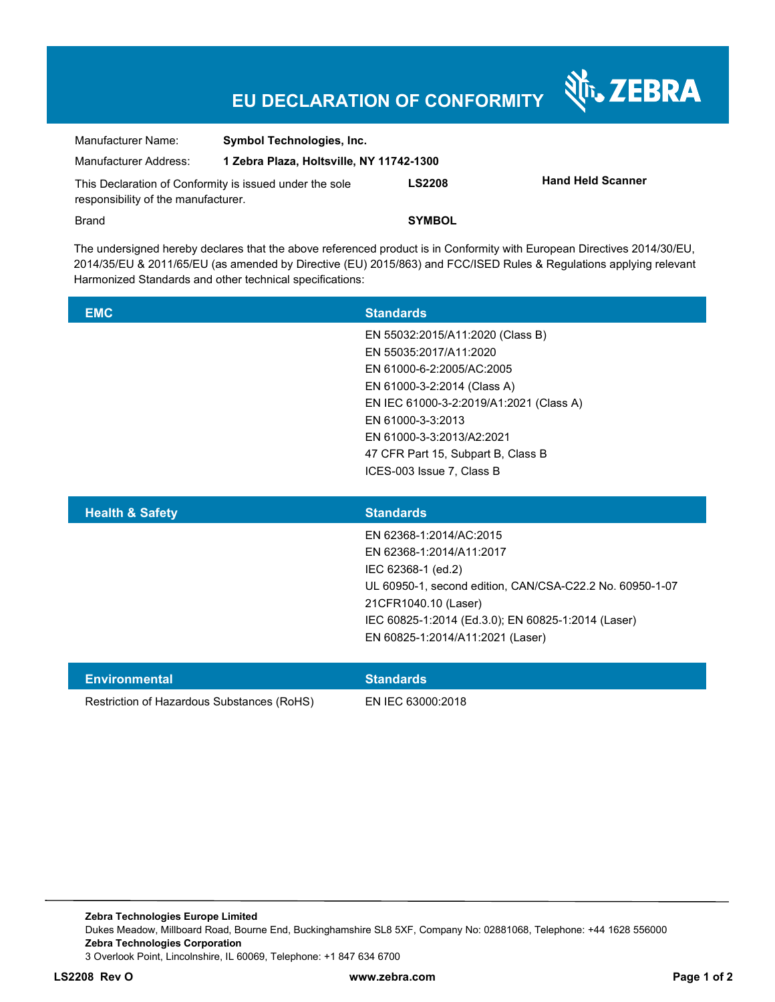## **EU DECLARATION OF CONFORMITY**

Nr. ZEBRA

| Manufacturer Name:                                                                             | <b>Symbol Technologies, Inc.</b>         |               |                          |
|------------------------------------------------------------------------------------------------|------------------------------------------|---------------|--------------------------|
| Manufacturer Address:                                                                          | 1 Zebra Plaza, Holtsville, NY 11742-1300 |               |                          |
| This Declaration of Conformity is issued under the sole<br>responsibility of the manufacturer. |                                          | <b>LS2208</b> | <b>Hand Held Scanner</b> |
| Brand                                                                                          |                                          | <b>SYMBOL</b> |                          |

The undersigned hereby declares that the above referenced product is in Conformity with European Directives 2014/30/EU, 2014/35/EU & 2011/65/EU (as amended by Directive (EU) 2015/863) and FCC/ISED Rules & Regulations applying relevant Harmonized Standards and other technical specifications:

| <b>EMC</b> | <b>Standards</b>                        |
|------------|-----------------------------------------|
|            | EN 55032:2015/A11:2020 (Class B)        |
|            | EN 55035:2017/A11:2020                  |
|            | EN 61000-6-2:2005/AC:2005               |
|            | EN 61000-3-2:2014 (Class A)             |
|            | EN IEC 61000-3-2:2019/A1:2021 (Class A) |
|            | EN 61000-3-3:2013                       |
|            | EN 61000-3-3:2013/A2:2021               |
|            | 47 CFR Part 15, Subpart B, Class B      |
|            | ICES-003 Issue 7, Class B               |
|            |                                         |
|            |                                         |

| <b>Health &amp; Safety</b> | <b>Standards</b>                                         |
|----------------------------|----------------------------------------------------------|
|                            | EN 62368-1:2014/AC:2015                                  |
|                            | EN 62368-1:2014/A11:2017                                 |
|                            | IEC 62368-1 (ed.2)                                       |
|                            | UL 60950-1, second edition, CAN/CSA-C22.2 No. 60950-1-07 |
|                            | 21CFR1040.10 (Laser)                                     |
|                            | IEC 60825-1:2014 (Ed.3.0); EN 60825-1:2014 (Laser)       |
|                            | EN 60825-1:2014/A11:2021 (Laser)                         |
|                            |                                                          |

| <b>Environmental</b>                       | <b>Standards</b>  |
|--------------------------------------------|-------------------|
| Restriction of Hazardous Substances (RoHS) | EN IEC 63000:2018 |